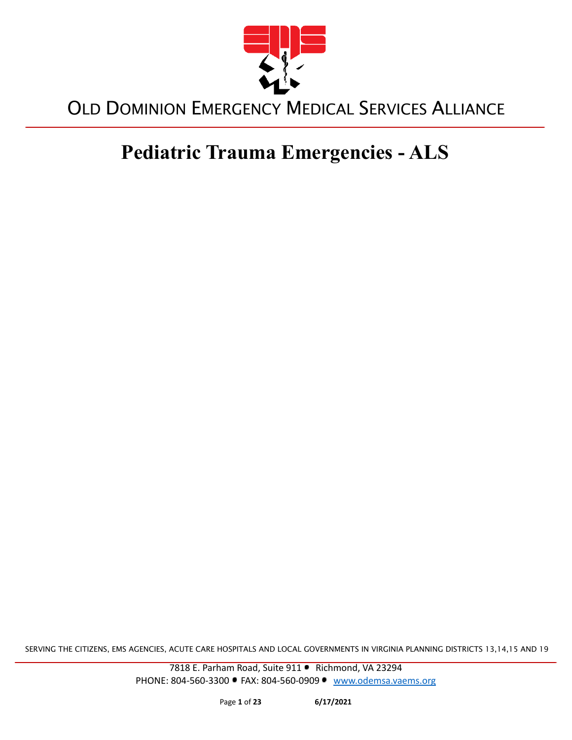

# **Pediatric Trauma Emergencies - ALS**

SERVING THE CITIZENS, EMS AGENCIES, ACUTE CARE HOSPITALS AND LOCAL GOVERNMENTS IN VIRGINIA PLANNING DISTRICTS 13,14,15 AND 19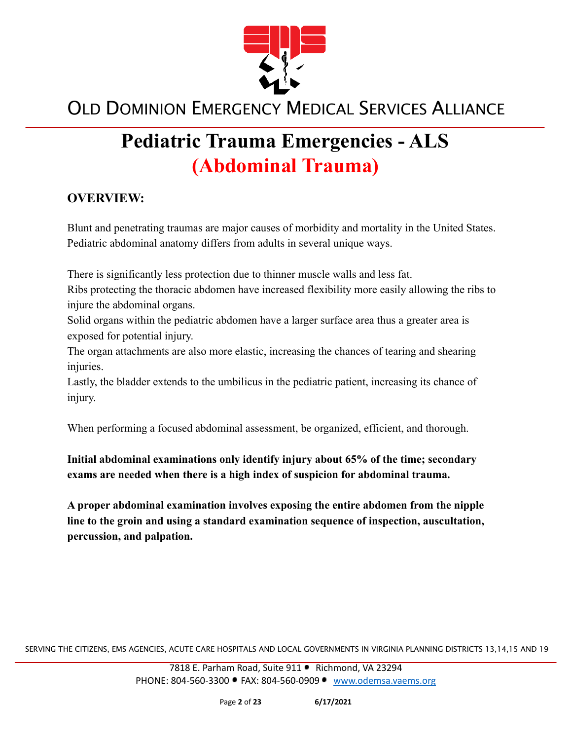

## **Pediatric Trauma Emergencies - ALS (Abdominal Trauma)**

#### **OVERVIEW:**

Blunt and penetrating traumas are major causes of morbidity and mortality in the United States. Pediatric abdominal anatomy differs from adults in several unique ways.

There is significantly less protection due to thinner muscle walls and less fat.

Ribs protecting the thoracic abdomen have increased flexibility more easily allowing the ribs to injure the abdominal organs.

Solid organs within the pediatric abdomen have a larger surface area thus a greater area is exposed for potential injury.

The organ attachments are also more elastic, increasing the chances of tearing and shearing injuries.

Lastly, the bladder extends to the umbilicus in the pediatric patient, increasing its chance of injury.

When performing a focused abdominal assessment, be organized, efficient, and thorough.

**Initial abdominal examinations only identify injury about 65% of the time; secondary exams are needed when there is a high index of suspicion for abdominal trauma.**

**A proper abdominal examination involves exposing the entire abdomen from the nipple line to the groin and using a standard examination sequence of inspection, auscultation, percussion, and palpation.**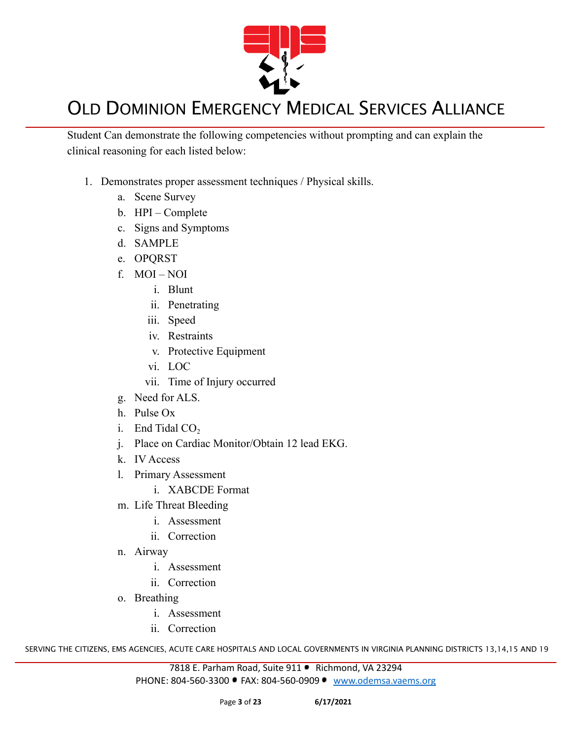

Student Can demonstrate the following competencies without prompting and can explain the clinical reasoning for each listed below:

- 1. Demonstrates proper assessment techniques / Physical skills.
	- a. Scene Survey
	- b. HPI Complete
	- c. Signs and Symptoms
	- d. SAMPLE
	- e. OPQRST
	- f. MOI NOI
		- i. Blunt
		- ii. Penetrating
		- iii. Speed
		- iv. Restraints
		- v. Protective Equipment
		- vi. LOC
		- vii. Time of Injury occurred
	- g. Need for ALS.
	- h. Pulse Ox
	- i. End Tidal  $CO<sub>2</sub>$
	- j. Place on Cardiac Monitor/Obtain 12 lead EKG.
	- k. IV Access
	- l. Primary Assessment
		- i. XABCDE Format
	- m. Life Threat Bleeding
		- i. Assessment
		- ii. Correction
	- n. Airway
		- i. Assessment
		- ii. Correction
	- o. Breathing
		- i. Assessment
		- ii. Correction

SERVING THE CITIZENS, EMS AGENCIES, ACUTE CARE HOSPITALS AND LOCAL GOVERNMENTS IN VIRGINIA PLANNING DISTRICTS 13,14,15 AND 19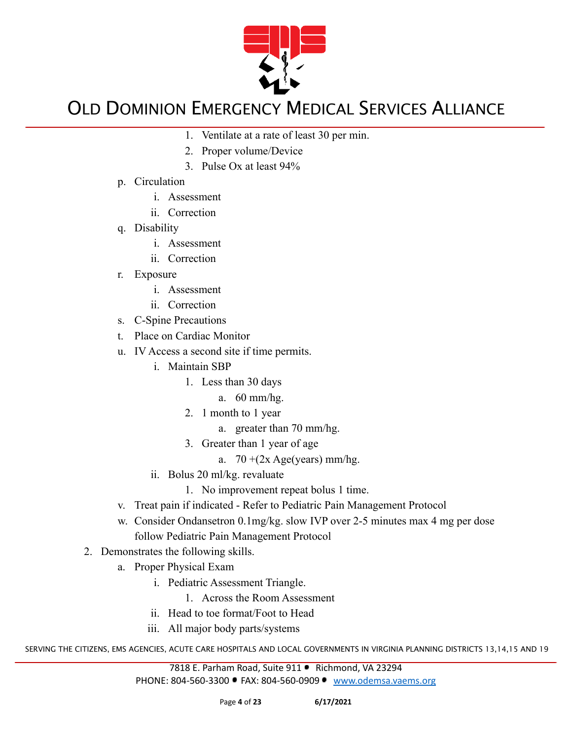

- 1. Ventilate at a rate of least 30 per min.
- 2. Proper volume/Device
- 3. Pulse Ox at least 94%
- p. Circulation
	- i. Assessment
	- ii. Correction
- q. Disability
	- i. Assessment
	- ii. Correction
- r. Exposure
	- i. Assessment
	- ii. Correction
- s. C-Spine Precautions
- t. Place on Cardiac Monitor
- u. IV Access a second site if time permits.
	- i. Maintain SBP
		- 1. Less than 30 days
			- a. 60 mm/hg.
		- 2. 1 month to 1 year
			- a. greater than 70 mm/hg.
		- 3. Greater than 1 year of age
			- a.  $70 + (2x \text{ Age}$ (years) mm/hg.
	- ii. Bolus 20 ml/kg. revaluate
		- 1. No improvement repeat bolus 1 time.
- v. Treat pain if indicated Refer to Pediatric Pain Management Protocol
- w. Consider Ondansetron 0.1mg/kg. slow IVP over 2-5 minutes max 4 mg per dose follow Pediatric Pain Management Protocol
- 2. Demonstrates the following skills.
	- a. Proper Physical Exam
		- i. Pediatric Assessment Triangle.
			- 1. Across the Room Assessment
		- ii. Head to toe format/Foot to Head
		- iii. All major body parts/systems

SERVING THE CITIZENS, EMS AGENCIES, ACUTE CARE HOSPITALS AND LOCAL GOVERNMENTS IN VIRGINIA PLANNING DISTRICTS 13,14,15 AND 19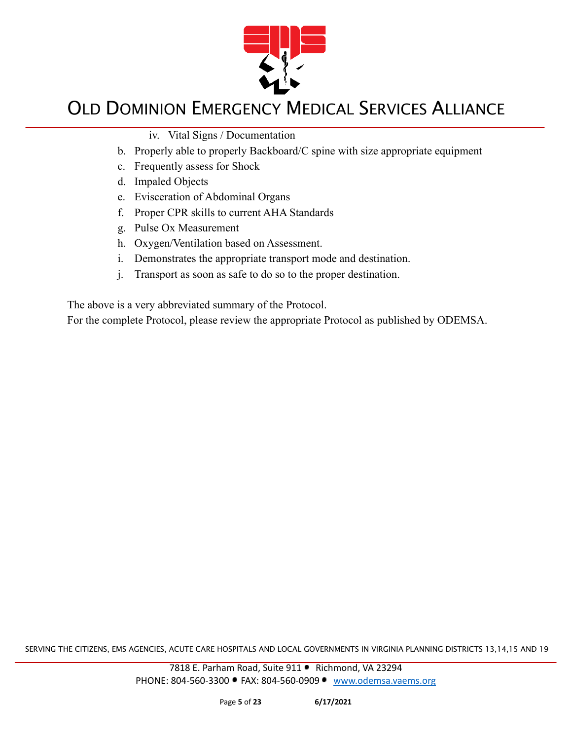

- iv. Vital Signs / Documentation
- b. Properly able to properly Backboard/C spine with size appropriate equipment
- c. Frequently assess for Shock
- d. Impaled Objects
- e. Evisceration of Abdominal Organs
- f. Proper CPR skills to current AHA Standards
- g. Pulse Ox Measurement
- h. Oxygen/Ventilation based on Assessment.
- i. Demonstrates the appropriate transport mode and destination.
- j. Transport as soon as safe to do so to the proper destination.

The above is a very abbreviated summary of the Protocol.

For the complete Protocol, please review the appropriate Protocol as published by ODEMSA.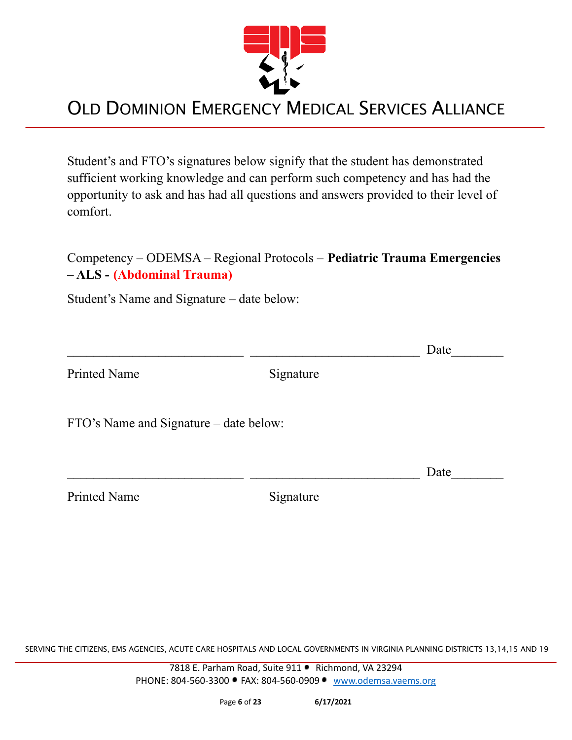

Student's and FTO's signatures below signify that the student has demonstrated sufficient working knowledge and can perform such competency and has had the opportunity to ask and has had all questions and answers provided to their level of comfort.

#### Competency – ODEMSA – Regional Protocols – **Pediatric Trauma Emergencies – ALS - (Abdominal Trauma)**

Student's Name and Signature – date below:

|                                        |           | Date |
|----------------------------------------|-----------|------|
| <b>Printed Name</b>                    | Signature |      |
| FTO's Name and Signature – date below: |           |      |
|                                        |           | Date |
| <b>Printed Name</b>                    | Signature |      |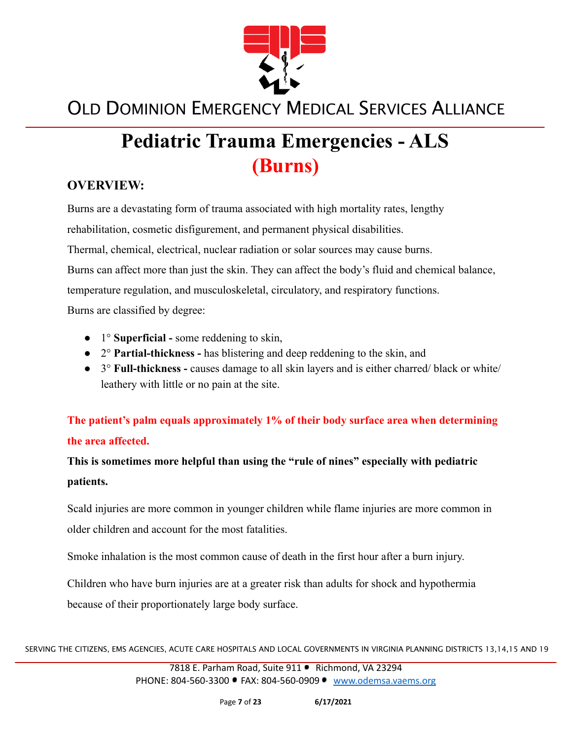

# **Pediatric Trauma Emergencies - ALS (Burns)**

#### **OVERVIEW:**

Burns are a devastating form of trauma associated with high mortality rates, lengthy rehabilitation, cosmetic disfigurement, and permanent physical disabilities. Thermal, chemical, electrical, nuclear radiation or solar sources may cause burns. Burns can affect more than just the skin. They can affect the body's fluid and chemical balance, temperature regulation, and musculoskeletal, circulatory, and respiratory functions. Burns are classified by degree:

- 1° **Superficial -** some reddening to skin,
- 2° **Partial-thickness -** has blistering and deep reddening to the skin, and
- 3° **Full-thickness -** causes damage to all skin layers and is either charred/ black or white/ leathery with little or no pain at the site.

**The patient's palm equals approximately 1% of their body surface area when determining the area affected.**

**This is sometimes more helpful than using the "rule of nines" especially with pediatric patients.**

Scald injuries are more common in younger children while flame injuries are more common in older children and account for the most fatalities.

Smoke inhalation is the most common cause of death in the first hour after a burn injury.

Children who have burn injuries are at a greater risk than adults for shock and hypothermia because of their proportionately large body surface.

SERVING THE CITIZENS, EMS AGENCIES, ACUTE CARE HOSPITALS AND LOCAL GOVERNMENTS IN VIRGINIA PLANNING DISTRICTS 13,14,15 AND 19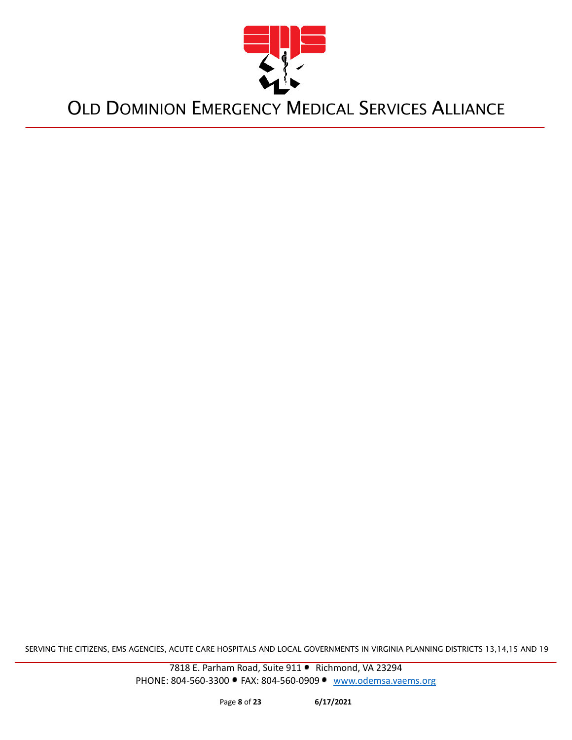

SERVING THE CITIZENS, EMS AGENCIES, ACUTE CARE HOSPITALS AND LOCAL GOVERNMENTS IN VIRGINIA PLANNING DISTRICTS 13,14,15 AND 19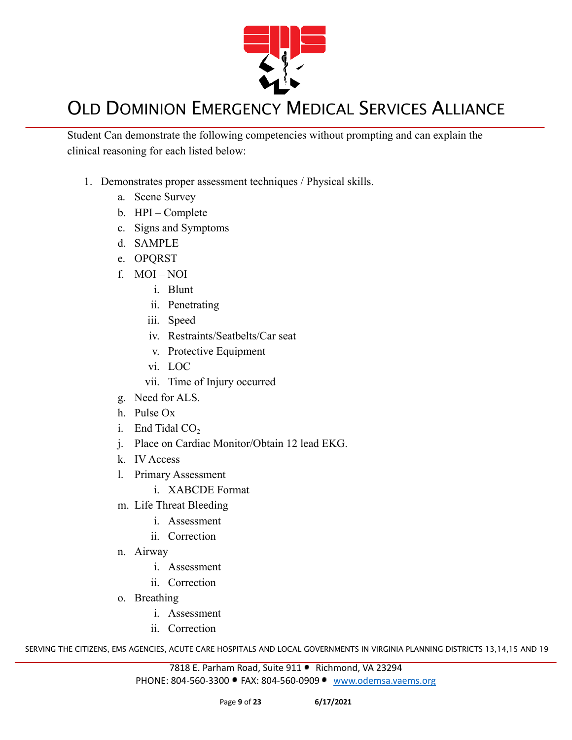

Student Can demonstrate the following competencies without prompting and can explain the clinical reasoning for each listed below:

- 1. Demonstrates proper assessment techniques / Physical skills.
	- a. Scene Survey
	- b. HPI Complete
	- c. Signs and Symptoms
	- d. SAMPLE
	- e. OPQRST
	- f. MOI NOI
		- i. Blunt
		- ii. Penetrating
		- iii. Speed
		- iv. Restraints/Seatbelts/Car seat
		- v. Protective Equipment
		- vi. LOC
		- vii. Time of Injury occurred
	- g. Need for ALS.
	- h. Pulse Ox
	- i. End Tidal  $CO<sub>2</sub>$
	- j. Place on Cardiac Monitor/Obtain 12 lead EKG.
	- k. IV Access
	- l. Primary Assessment
		- i. XABCDE Format
	- m. Life Threat Bleeding
		- i. Assessment
		- ii. Correction
	- n. Airway
		- i. Assessment
		- ii. Correction
	- o. Breathing
		- i. Assessment
		- ii. Correction

SERVING THE CITIZENS, EMS AGENCIES, ACUTE CARE HOSPITALS AND LOCAL GOVERNMENTS IN VIRGINIA PLANNING DISTRICTS 13,14,15 AND 19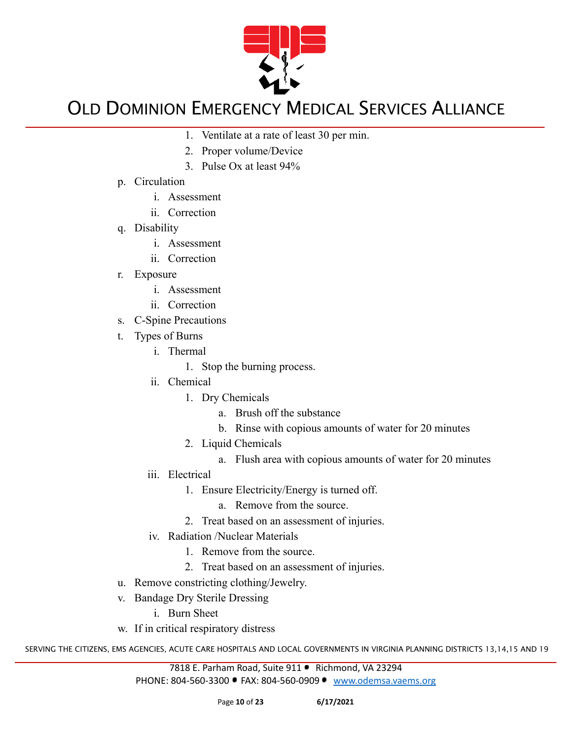

- 1. Ventilate at a rate of least 30 per min.
- 2. Proper volume/Device
- 3. Pulse Ox at least 94%
- p. Circulation
	- i. Assessment
	- ii. Correction
- q. Disability
	- i. Assessment
	- ii. Correction
- r. Exposure
	- i. Assessment
	- ii. Correction
- s. C-Spine Precautions
- t. Types of Burns
	- i. Thermal
		- 1. Stop the burning process.
	- ii. Chemical
		- 1. Dry Chemicals
			- a. Brush off the substance
			- b. Rinse with copious amounts of water for 20 minutes
		- 2. Liquid Chemicals
			- a. Flush area with copious amounts of water for 20 minutes
	- iii. Electrical
		- 1. Ensure Electricity/Energy is turned off.
			- a. Remove from the source.
		- 2. Treat based on an assessment of injuries.
	- iv. Radiation /Nuclear Materials
		- 1. Remove from the source.
		- 2. Treat based on an assessment of injuries.
- u. Remove constricting clothing/Jewelry.
- v. Bandage Dry Sterile Dressing
	- i. Burn Sheet
- w. If in critical respiratory distress

SERVING THE CITIZENS, EMS AGENCIES, ACUTE CARE HOSPITALS AND LOCAL GOVERNMENTS IN VIRGINIA PLANNING DISTRICTS 13,14,15 AND 19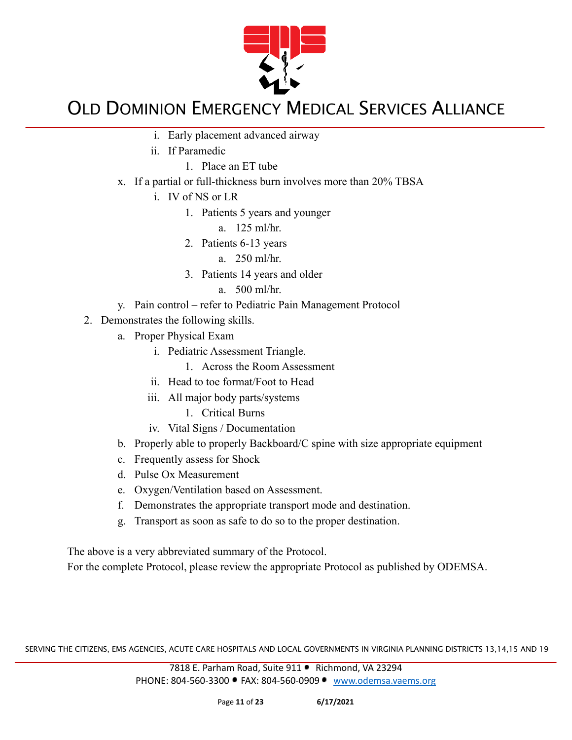

- i. Early placement advanced airway
- ii. If Paramedic
	- 1. Place an ET tube
- x. If a partial or full-thickness burn involves more than 20% TBSA
	- i. IV of NS or LR
		- 1. Patients 5 years and younger
			- a. 125 ml/hr.
		- 2. Patients 6-13 years
			- a. 250 ml/hr.
		- 3. Patients 14 years and older
			- a. 500 ml/hr.
- y. Pain control refer to Pediatric Pain Management Protocol
- 2. Demonstrates the following skills.
	- a. Proper Physical Exam
		- i. Pediatric Assessment Triangle.
			- 1. Across the Room Assessment
		- ii. Head to toe format/Foot to Head
		- iii. All major body parts/systems
			- 1. Critical Burns
		- iv. Vital Signs / Documentation
	- b. Properly able to properly Backboard/C spine with size appropriate equipment
	- c. Frequently assess for Shock
	- d. Pulse Ox Measurement
	- e. Oxygen/Ventilation based on Assessment.
	- f. Demonstrates the appropriate transport mode and destination.
	- g. Transport as soon as safe to do so to the proper destination.

The above is a very abbreviated summary of the Protocol.

For the complete Protocol, please review the appropriate Protocol as published by ODEMSA.

SERVING THE CITIZENS, EMS AGENCIES, ACUTE CARE HOSPITALS AND LOCAL GOVERNMENTS IN VIRGINIA PLANNING DISTRICTS 13,14,15 AND 19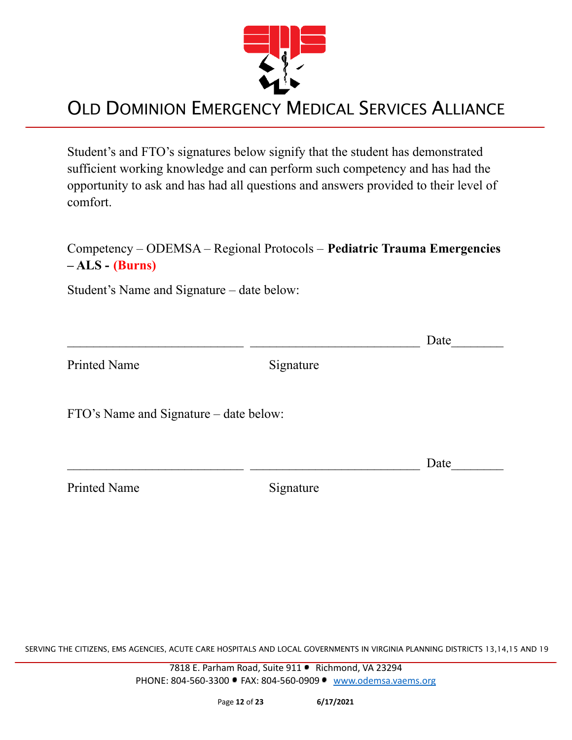

Student's and FTO's signatures below signify that the student has demonstrated sufficient working knowledge and can perform such competency and has had the opportunity to ask and has had all questions and answers provided to their level of comfort.

#### Competency – ODEMSA – Regional Protocols – **Pediatric Trauma Emergencies – ALS - (Burns)**

Student's Name and Signature – date below:

|                                        |           | Date |
|----------------------------------------|-----------|------|
| <b>Printed Name</b>                    | Signature |      |
| FTO's Name and Signature – date below: |           |      |
|                                        |           | Date |
| <b>Printed Name</b>                    | Signature |      |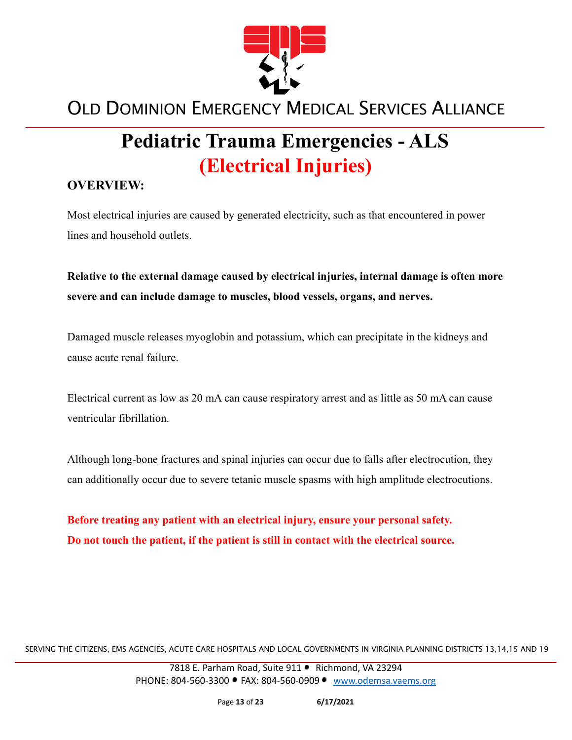

# **Pediatric Trauma Emergencies - ALS (Electrical Injuries)**

#### **OVERVIEW:**

Most electrical injuries are caused by generated electricity, such as that encountered in power lines and household outlets.

**Relative to the external damage caused by electrical injuries, internal damage is often more severe and can include damage to muscles, blood vessels, organs, and nerves.**

Damaged muscle releases myoglobin and potassium, which can precipitate in the kidneys and cause acute renal failure.

Electrical current as low as 20 mA can cause respiratory arrest and as little as 50 mA can cause ventricular fibrillation.

Although long-bone fractures and spinal injuries can occur due to falls after electrocution, they can additionally occur due to severe tetanic muscle spasms with high amplitude electrocutions.

**Before treating any patient with an electrical injury, ensure your personal safety. Do not touch the patient, if the patient is still in contact with the electrical source.**

SERVING THE CITIZENS, EMS AGENCIES, ACUTE CARE HOSPITALS AND LOCAL GOVERNMENTS IN VIRGINIA PLANNING DISTRICTS 13,14,15 AND 19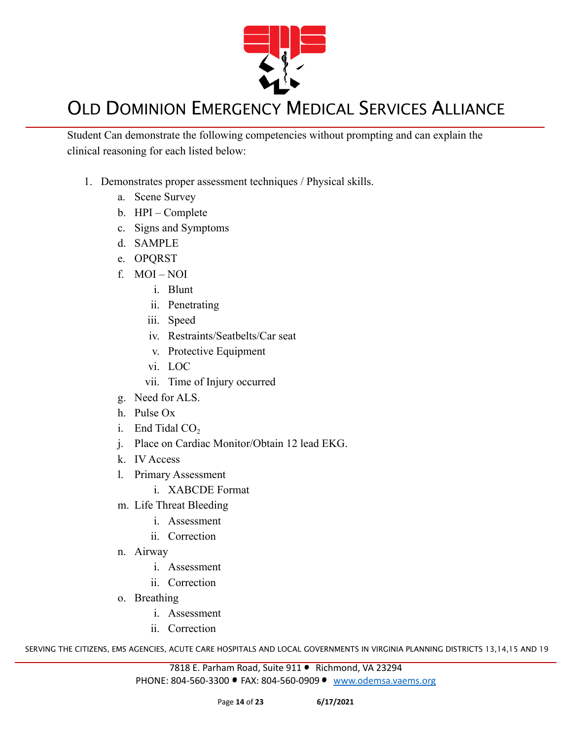

Student Can demonstrate the following competencies without prompting and can explain the clinical reasoning for each listed below:

- 1. Demonstrates proper assessment techniques / Physical skills.
	- a. Scene Survey
	- b. HPI Complete
	- c. Signs and Symptoms
	- d. SAMPLE
	- e. OPQRST
	- f. MOI NOI
		- i. Blunt
		- ii. Penetrating
		- iii. Speed
		- iv. Restraints/Seatbelts/Car seat
		- v. Protective Equipment
		- vi. LOC
		- vii. Time of Injury occurred
	- g. Need for ALS.
	- h. Pulse Ox
	- i. End Tidal  $CO<sub>2</sub>$
	- j. Place on Cardiac Monitor/Obtain 12 lead EKG.
	- k. IV Access
	- l. Primary Assessment
		- i. XABCDE Format
	- m. Life Threat Bleeding
		- i. Assessment
		- ii. Correction
	- n. Airway
		- i. Assessment
		- ii. Correction
	- o. Breathing
		- i. Assessment
		- ii. Correction

SERVING THE CITIZENS, EMS AGENCIES, ACUTE CARE HOSPITALS AND LOCAL GOVERNMENTS IN VIRGINIA PLANNING DISTRICTS 13,14,15 AND 19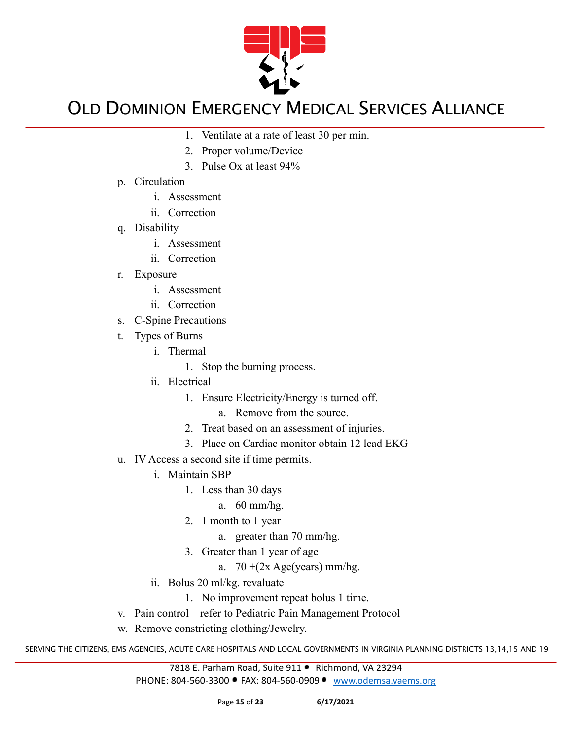

- 1. Ventilate at a rate of least 30 per min.
- 2. Proper volume/Device
- 3. Pulse Ox at least 94%
- p. Circulation
	- i. Assessment
	- ii. Correction
- q. Disability
	- i. Assessment
	- ii. Correction
- r. Exposure
	- i. Assessment
	- ii. Correction
- s. C-Spine Precautions
- t. Types of Burns
	- i. Thermal
		- 1. Stop the burning process.
	- ii. Electrical
		- 1. Ensure Electricity/Energy is turned off.
			- a. Remove from the source.
		- 2. Treat based on an assessment of injuries.
		- 3. Place on Cardiac monitor obtain 12 lead EKG
- u. IV Access a second site if time permits.
	- i. Maintain SBP
		- 1. Less than 30 days
			- a. 60 mm/hg.
		- 2. 1 month to 1 year
			- a. greater than 70 mm/hg.
		- 3. Greater than 1 year of age
			- a.  $70 + (2x \text{ Age}$ (years) mm/hg.
	- ii. Bolus 20 ml/kg. revaluate
		- 1. No improvement repeat bolus 1 time.
- v. Pain control refer to Pediatric Pain Management Protocol
- w. Remove constricting clothing/Jewelry.

SERVING THE CITIZENS, EMS AGENCIES, ACUTE CARE HOSPITALS AND LOCAL GOVERNMENTS IN VIRGINIA PLANNING DISTRICTS 13,14,15 AND 19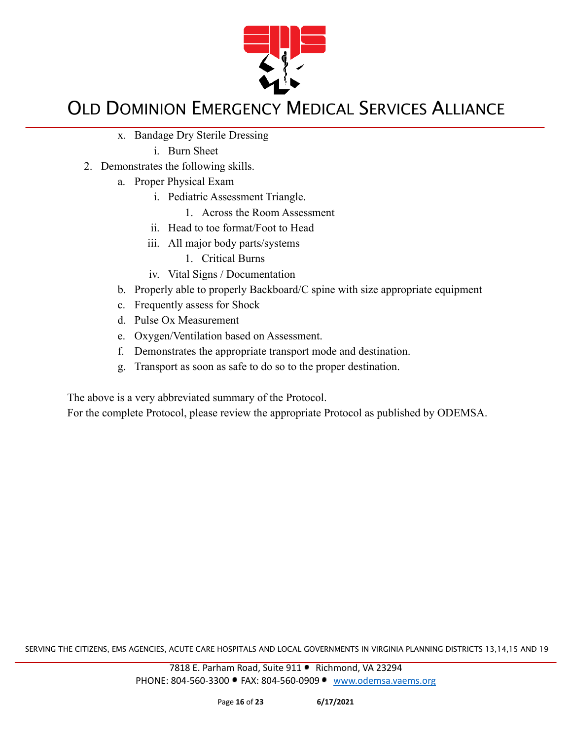

x. Bandage Dry Sterile Dressing

i. Burn Sheet

- 2. Demonstrates the following skills.
	- a. Proper Physical Exam
		- i. Pediatric Assessment Triangle.
			- 1. Across the Room Assessment
		- ii. Head to toe format/Foot to Head
		- iii. All major body parts/systems
			- 1. Critical Burns
		- iv. Vital Signs / Documentation
	- b. Properly able to properly Backboard/C spine with size appropriate equipment
	- c. Frequently assess for Shock
	- d. Pulse Ox Measurement
	- e. Oxygen/Ventilation based on Assessment.
	- f. Demonstrates the appropriate transport mode and destination.
	- g. Transport as soon as safe to do so to the proper destination.

The above is a very abbreviated summary of the Protocol.

For the complete Protocol, please review the appropriate Protocol as published by ODEMSA.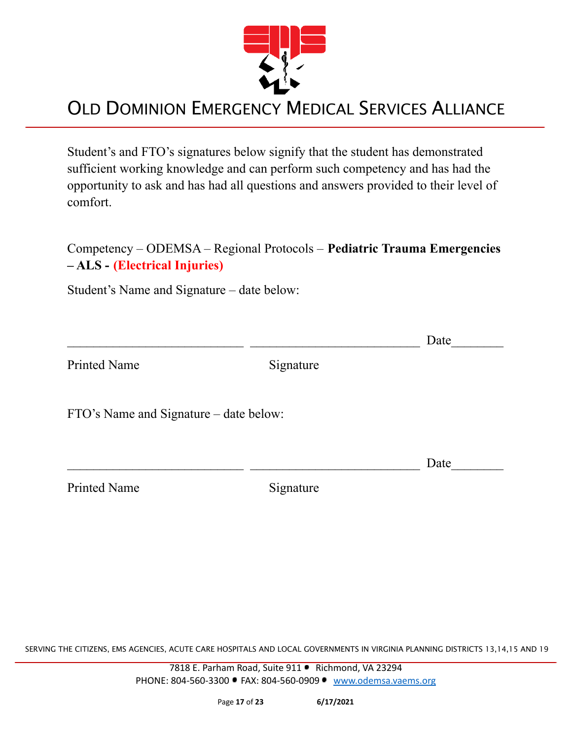

Student's and FTO's signatures below signify that the student has demonstrated sufficient working knowledge and can perform such competency and has had the opportunity to ask and has had all questions and answers provided to their level of comfort.

#### Competency – ODEMSA – Regional Protocols – **Pediatric Trauma Emergencies – ALS - (Electrical Injuries)**

Student's Name and Signature – date below:

|                                        |           | Date |
|----------------------------------------|-----------|------|
| <b>Printed Name</b>                    | Signature |      |
| FTO's Name and Signature – date below: |           |      |
|                                        |           | Date |
| <b>Printed Name</b>                    | Signature |      |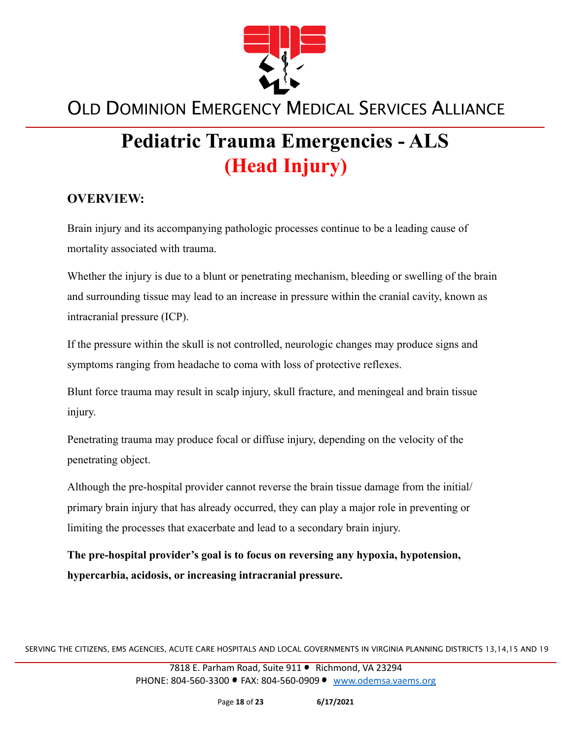

# **Pediatric Trauma Emergencies - ALS (Head Injury)**

#### **OVERVIEW:**

Brain injury and its accompanying pathologic processes continue to be a leading cause of mortality associated with trauma.

Whether the injury is due to a blunt or penetrating mechanism, bleeding or swelling of the brain and surrounding tissue may lead to an increase in pressure within the cranial cavity, known as intracranial pressure (ICP).

If the pressure within the skull is not controlled, neurologic changes may produce signs and symptoms ranging from headache to coma with loss of protective reflexes.

Blunt force trauma may result in scalp injury, skull fracture, and meningeal and brain tissue injury.

Penetrating trauma may produce focal or diffuse injury, depending on the velocity of the penetrating object.

Although the pre-hospital provider cannot reverse the brain tissue damage from the initial/ primary brain injury that has already occurred, they can play a major role in preventing or limiting the processes that exacerbate and lead to a secondary brain injury.

**The pre-hospital provider's goal is to focus on reversing any hypoxia, hypotension, hypercarbia, acidosis, or increasing intracranial pressure.**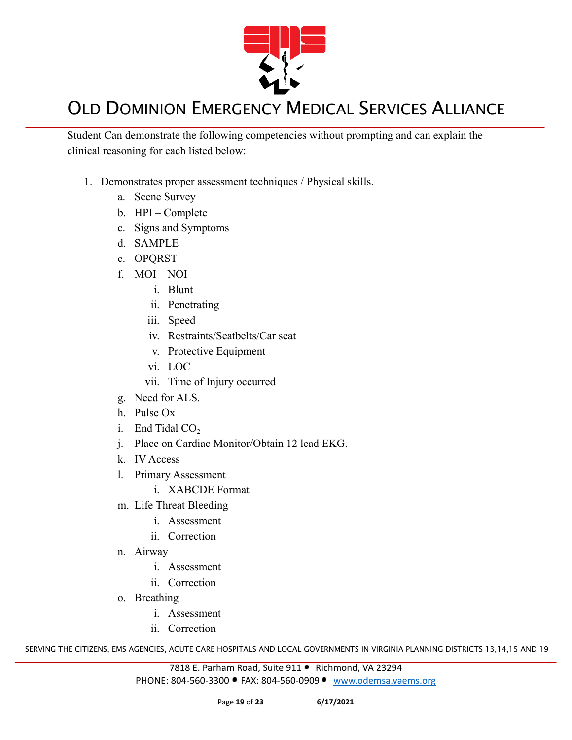

Student Can demonstrate the following competencies without prompting and can explain the clinical reasoning for each listed below:

- 1. Demonstrates proper assessment techniques / Physical skills.
	- a. Scene Survey
	- b. HPI Complete
	- c. Signs and Symptoms
	- d. SAMPLE
	- e. OPQRST
	- f. MOI NOI
		- i. Blunt
		- ii. Penetrating
		- iii. Speed
		- iv. Restraints/Seatbelts/Car seat
		- v. Protective Equipment
		- vi. LOC
		- vii. Time of Injury occurred
	- g. Need for ALS.
	- h. Pulse Ox
	- i. End Tidal  $CO<sub>2</sub>$
	- j. Place on Cardiac Monitor/Obtain 12 lead EKG.
	- k. IV Access
	- l. Primary Assessment
		- i. XABCDE Format
	- m. Life Threat Bleeding
		- i. Assessment
		- ii. Correction
	- n. Airway
		- i. Assessment
		- ii. Correction
	- o. Breathing
		- i. Assessment
		- ii. Correction

SERVING THE CITIZENS, EMS AGENCIES, ACUTE CARE HOSPITALS AND LOCAL GOVERNMENTS IN VIRGINIA PLANNING DISTRICTS 13,14,15 AND 19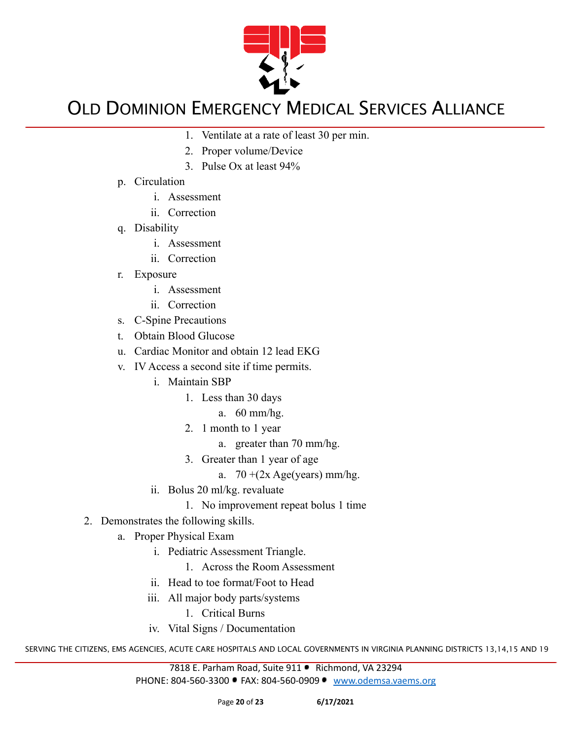

- 1. Ventilate at a rate of least 30 per min.
- 2. Proper volume/Device
- 3. Pulse Ox at least 94%
- p. Circulation
	- i. Assessment
	- ii. Correction
- q. Disability
	- i. Assessment
	- ii. Correction
- r. Exposure
	- i. Assessment
	- ii. Correction
- s. C-Spine Precautions
- t. Obtain Blood Glucose
- u. Cardiac Monitor and obtain 12 lead EKG
- v. IV Access a second site if time permits.
	- i. Maintain SBP
		- 1. Less than 30 days
			- a. 60 mm/hg.
		- 2. 1 month to 1 year
			- a. greater than 70 mm/hg.
		- 3. Greater than 1 year of age
			- a.  $70 + (2x \text{ Age}$ (years) mm/hg.
	- ii. Bolus 20 ml/kg. revaluate
		- 1. No improvement repeat bolus 1 time
- 2. Demonstrates the following skills.
	- a. Proper Physical Exam
		- i. Pediatric Assessment Triangle.
			- 1. Across the Room Assessment
		- ii. Head to toe format/Foot to Head
		- iii. All major body parts/systems
			- 1. Critical Burns
		- iv. Vital Signs / Documentation

SERVING THE CITIZENS, EMS AGENCIES, ACUTE CARE HOSPITALS AND LOCAL GOVERNMENTS IN VIRGINIA PLANNING DISTRICTS 13,14,15 AND 19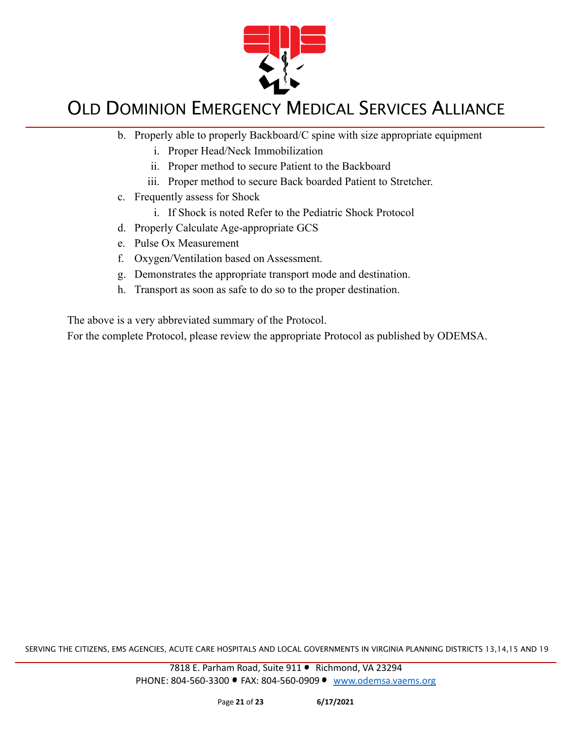

- b. Properly able to properly Backboard/C spine with size appropriate equipment
	- i. Proper Head/Neck Immobilization
	- ii. Proper method to secure Patient to the Backboard
	- iii. Proper method to secure Back boarded Patient to Stretcher.
- c. Frequently assess for Shock
	- i. If Shock is noted Refer to the Pediatric Shock Protocol
- d. Properly Calculate Age-appropriate GCS
- e. Pulse Ox Measurement
- f. Oxygen/Ventilation based on Assessment.
- g. Demonstrates the appropriate transport mode and destination.
- h. Transport as soon as safe to do so to the proper destination.

The above is a very abbreviated summary of the Protocol.

For the complete Protocol, please review the appropriate Protocol as published by ODEMSA.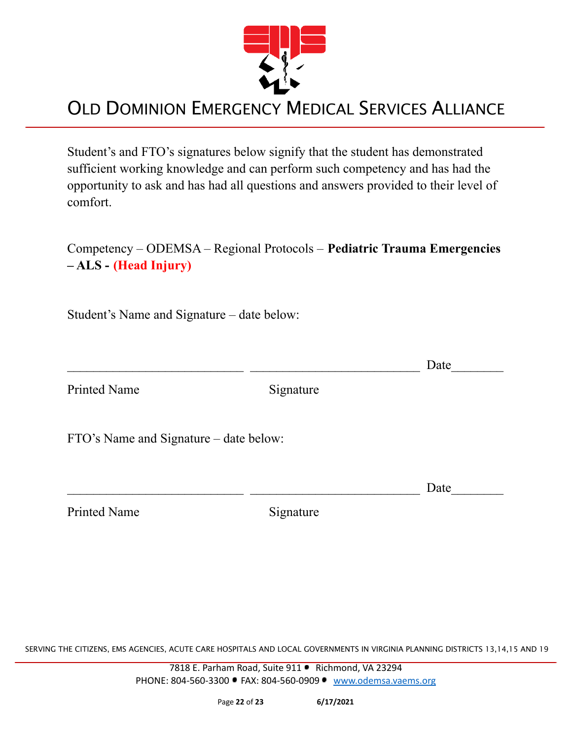

Student's and FTO's signatures below signify that the student has demonstrated sufficient working knowledge and can perform such competency and has had the opportunity to ask and has had all questions and answers provided to their level of comfort.

#### Competency – ODEMSA – Regional Protocols – **Pediatric Trauma Emergencies – ALS - (Head Injury)**

Student's Name and Signature – date below:

 $\Box$  Date Printed Name Signature FTO's Name and Signature – date below:

Printed Name Signature

 $\Box$  Date

SERVING THE CITIZENS, EMS AGENCIES, ACUTE CARE HOSPITALS AND LOCAL GOVERNMENTS IN VIRGINIA PLANNING DISTRICTS 13,14,15 AND 19